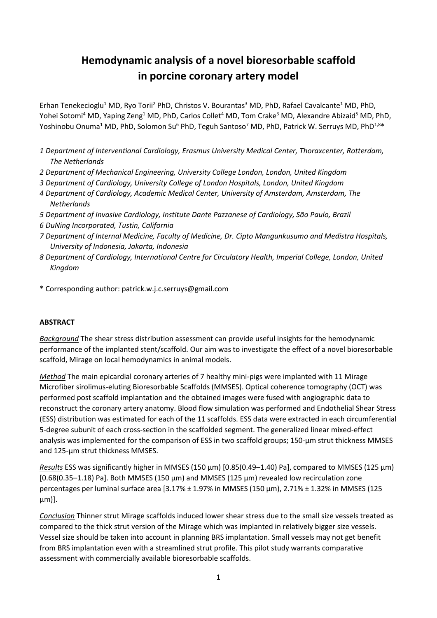# **Hemodynamic analysis of a novel bioresorbable scaffold in porcine coronary artery model**

Erhan Tenekecioglu<sup>1</sup> MD, Ryo Torii<sup>2</sup> PhD, Christos V. Bourantas<sup>3</sup> MD, PhD, Rafael Cavalcante<sup>1</sup> MD, PhD, Yohei Sotomi<sup>4</sup> MD, Yaping Zeng<sup>1</sup> MD, PhD, Carlos Collet<sup>4</sup> MD, Tom Crake<sup>3</sup> MD, Alexandre Abizaid<sup>5</sup> MD, PhD, Yoshinobu Onuma<sup>1</sup> MD, PhD, Solomon Su<sup>6</sup> PhD, Teguh Santoso<sup>7</sup> MD, PhD, Patrick W. Serruys MD, PhD<sup>1,8\*</sup>

- *1 Department of Interventional Cardiology, Erasmus University Medical Center, Thoraxcenter, Rotterdam, The Netherlands*
- *2 Department of Mechanical Engineering, University College London, London, United Kingdom*
- *3 Department of Cardiology, University College of London Hospitals, London, United Kingdom*
- *4 Department of Cardiology, Academic Medical Center, University of Amsterdam, Amsterdam, The Netherlands*
- *5 Department of Invasive Cardiology, Institute Dante Pazzanese of Cardiology, São Paulo, Brazil 6 DuNing Incorporated, Tustin, California*
- *7 Department of Internal Medicine, Faculty of Medicine, Dr. Cipto Mangunkusumo and Medistra Hospitals, University of Indonesia, Jakarta, Indonesia*
- *8 Department of Cardiology, International Centre for Circulatory Health, Imperial College, London, United Kingdom*
- \* Corresponding author: patrick.w.j.c.serruys@gmail.com

#### **ABSTRACT**

*Background* The shear stress distribution assessment can provide useful insights for the hemodynamic performance of the implanted stent/scaffold. Our aim was to investigate the effect of a novel bioresorbable scaffold, Mirage on local hemodynamics in animal models.

*Method* The main epicardial coronary arteries of 7 healthy mini-pigs were implanted with 11 Mirage Microfiber sirolimus-eluting Bioresorbable Scaffolds (MMSES). Optical coherence tomography (OCT) was performed post scaffold implantation and the obtained images were fused with angiographic data to reconstruct the coronary artery anatomy. Blood flow simulation was performed and Endothelial Shear Stress (ESS) distribution was estimated for each of the 11 scaffolds. ESS data were extracted in each circumferential 5-degree subunit of each cross-section in the scaffolded segment. The generalized linear mixed-effect analysis was implemented for the comparison of ESS in two scaffold groups; 150-um strut thickness MMSES and 125-µm strut thickness MMSES.

*Results* ESS was significantly higher in MMSES (150 µm) [0.85(0.49–1.40) Pa], compared to MMSES (125 µm) [0.68(0.35–1.18) Pa]. Both MMSES (150 µm) and MMSES (125 µm) revealed low recirculation zone percentages per luminal surface area [3.17% ± 1.97% in MMSES (150 µm), 2.71% ± 1.32% in MMSES (125 µm)].

*Conclusion* Thinner strut Mirage scaffolds induced lower shear stress due to the small size vessels treated as compared to the thick strut version of the Mirage which was implanted in relatively bigger size vessels. Vessel size should be taken into account in planning BRS implantation. Small vessels may not get benefit from BRS implantation even with a streamlined strut profile. This pilot study warrants comparative assessment with commercially available bioresorbable scaffolds.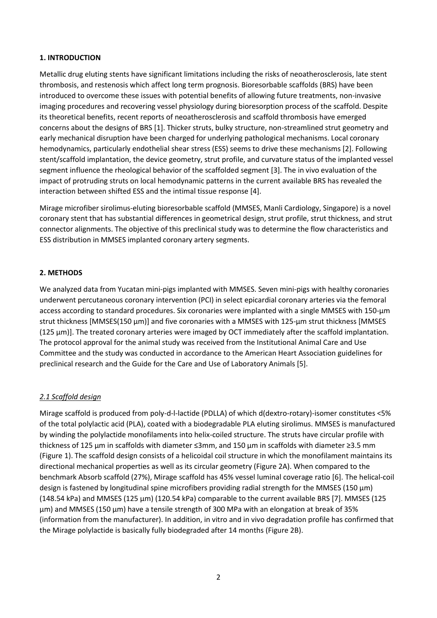#### **1. INTRODUCTION**

Metallic drug eluting stents have significant limitations including the risks of neoatherosclerosis, late stent thrombosis, and restenosis which affect long term prognosis. Bioresorbable scaffolds (BRS) have been introduced to overcome these issues with potential benefits of allowing future treatments, non-invasive imaging procedures and recovering vessel physiology during bioresorption process of the scaffold. Despite its theoretical benefits, recent reports of neoatherosclerosis and scaffold thrombosis have emerged concerns about the designs of BRS [1]. Thicker struts, bulky structure, non-streamlined strut geometry and early mechanical disruption have been charged for underlying pathological mechanisms. Local coronary hemodynamics, particularly endothelial shear stress (ESS) seems to drive these mechanisms [2]. Following stent/scaffold implantation, the device geometry, strut profile, and curvature status of the implanted vessel segment influence the rheological behavior of the scaffolded segment [3]. The in vivo evaluation of the impact of protruding struts on local hemodynamic patterns in the current available BRS has revealed the interaction between shifted ESS and the intimal tissue response [4].

Mirage microfiber sirolimus-eluting bioresorbable scaffold (MMSES, Manli Cardiology, Singapore) is a novel coronary stent that has substantial differences in geometrical design, strut profile, strut thickness, and strut connector alignments. The objective of this preclinical study was to determine the flow characteristics and ESS distribution in MMSES implanted coronary artery segments.

## **2. METHODS**

We analyzed data from Yucatan mini-pigs implanted with MMSES. Seven mini-pigs with healthy coronaries underwent percutaneous coronary intervention (PCI) in select epicardial coronary arteries via the femoral access according to standard procedures. Six coronaries were implanted with a single MMSES with 150-µm strut thickness [MMSES(150 µm)] and five coronaries with a MMSES with 125-µm strut thickness [MMSES (125 µm)]. The treated coronary arteries were imaged by OCT immediately after the scaffold implantation. The protocol approval for the animal study was received from the Institutional Animal Care and Use Committee and the study was conducted in accordance to the American Heart Association guidelines for preclinical research and the Guide for the Care and Use of Laboratory Animals [5].

## *2.1 Scaffold design*

Mirage scaffold is produced from poly-d-l-lactide (PDLLA) of which d(dextro-rotary)-isomer constitutes <5% of the total polylactic acid (PLA), coated with a biodegradable PLA eluting sirolimus. MMSES is manufactured by winding the polylactide monofilaments into helix-coiled structure. The struts have circular profile with thickness of 125 µm in scaffolds with diameter ≤3mm, and 150 µm in scaffolds with diameter ≥3.5 mm (Figure 1). The scaffold design consists of a helicoidal coil structure in which the monofilament maintains its directional mechanical properties as well as its circular geometry (Figure 2A). When compared to the benchmark Absorb scaffold (27%), Mirage scaffold has 45% vessel luminal coverage ratio [6]. The helical-coil design is fastened by longitudinal spine microfibers providing radial strength for the MMSES (150  $\mu$ m) (148.54 kPa) and MMSES (125 µm) (120.54 kPa) comparable to the current available BRS [7]. MMSES (125 µm) and MMSES (150 µm) have a tensile strength of 300 MPa with an elongation at break of 35% (information from the manufacturer). In addition, in vitro and in vivo degradation profile has confirmed that the Mirage polylactide is basically fully biodegraded after 14 months (Figure 2B).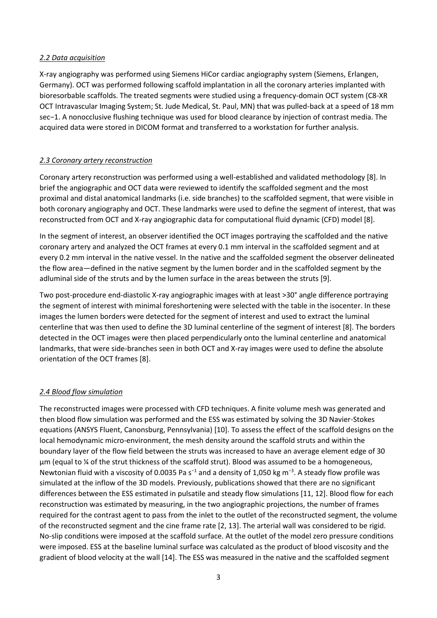#### *2.2 Data acquisition*

X-ray angiography was performed using Siemens HiCor cardiac angiography system (Siemens, Erlangen, Germany). OCT was performed following scaffold implantation in all the coronary arteries implanted with bioresorbable scaffolds. The treated segments were studied using a frequency-domain OCT system (C8-XR OCT Intravascular Imaging System; St. Jude Medical, St. Paul, MN) that was pulled-back at a speed of 18 mm sec−1. A nonocclusive flushing technique was used for blood clearance by injection of contrast media. The acquired data were stored in DICOM format and transferred to a workstation for further analysis.

## *2.3 Coronary artery reconstruction*

Coronary artery reconstruction was performed using a well-established and validated methodology [8]. In brief the angiographic and OCT data were reviewed to identify the scaffolded segment and the most proximal and distal anatomical landmarks (i.e. side branches) to the scaffolded segment, that were visible in both coronary angiography and OCT. These landmarks were used to define the segment of interest, that was reconstructed from OCT and X-ray angiographic data for computational fluid dynamic (CFD) model [8].

In the segment of interest, an observer identified the OCT images portraying the scaffolded and the native coronary artery and analyzed the OCT frames at every 0.1 mm interval in the scaffolded segment and at every 0.2 mm interval in the native vessel. In the native and the scaffolded segment the observer delineated the flow area—defined in the native segment by the lumen border and in the scaffolded segment by the adluminal side of the struts and by the lumen surface in the areas between the struts [9].

Two post-procedure end-diastolic X-ray angiographic images with at least >30° angle difference portraying the segment of interest with minimal foreshortening were selected with the table in the isocenter. In these images the lumen borders were detected for the segment of interest and used to extract the luminal centerline that was then used to define the 3D luminal centerline of the segment of interest [8]. The borders detected in the OCT images were then placed perpendicularly onto the luminal centerline and anatomical landmarks, that were side-branches seen in both OCT and X-ray images were used to define the absolute orientation of the OCT frames [8].

## *2.4 Blood flow simulation*

The reconstructed images were processed with CFD techniques. A finite volume mesh was generated and then blood flow simulation was performed and the ESS was estimated by solving the 3D Navier-Stokes equations (ANSYS Fluent, Canonsburg, Pennsylvania) [10]. To assess the effect of the scaffold designs on the local hemodynamic micro-environment, the mesh density around the scaffold struts and within the boundary layer of the flow field between the struts was increased to have an average element edge of 30 μm (equal to ¼ of the strut thickness of the scaffold strut). Blood was assumed to be a homogeneous, Newtonian fluid with a viscosity of 0.0035 Pa s<sup>-1</sup> and a density of 1,050 kg m<sup>-3</sup>. A steady flow profile was simulated at the inflow of the 3D models. Previously, publications showed that there are no significant differences between the ESS estimated in pulsatile and steady flow simulations [11, 12]. Blood flow for each reconstruction was estimated by measuring, in the two angiographic projections, the number of frames required for the contrast agent to pass from the inlet to the outlet of the reconstructed segment, the volume of the reconstructed segment and the cine frame rate [2, 13]. The arterial wall was considered to be rigid. No-slip conditions were imposed at the scaffold surface. At the outlet of the model zero pressure conditions were imposed. ESS at the baseline luminal surface was calculated as the product of blood viscosity and the gradient of blood velocity at the wall [14]. The ESS was measured in the native and the scaffolded segment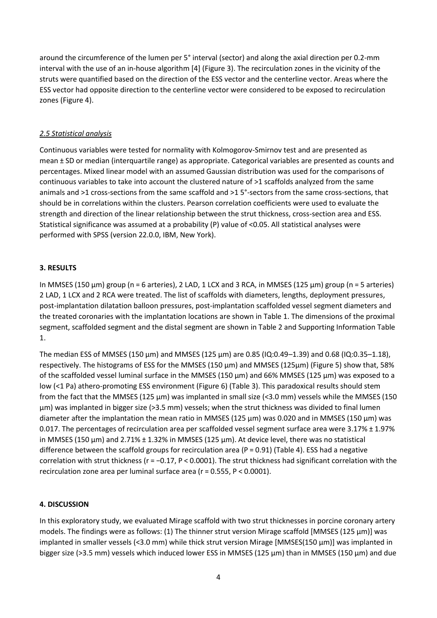around the circumference of the lumen per 5° interval (sector) and along the axial direction per 0.2-mm interval with the use of an in-house algorithm [4] (Figure 3). The recirculation zones in the vicinity of the struts were quantified based on the direction of the ESS vector and the centerline vector. Areas where the ESS vector had opposite direction to the centerline vector were considered to be exposed to recirculation zones (Figure 4).

## *2.5 Statistical analysis*

Continuous variables were tested for normality with Kolmogorov-Smirnov test and are presented as mean ± SD or median (interquartile range) as appropriate. Categorical variables are presented as counts and percentages. Mixed linear model with an assumed Gaussian distribution was used for the comparisons of continuous variables to take into account the clustered nature of >1 scaffolds analyzed from the same animals and >1 cross-sections from the same scaffold and >1 5°-sectors from the same cross-sections, that should be in correlations within the clusters. Pearson correlation coefficients were used to evaluate the strength and direction of the linear relationship between the strut thickness, cross-section area and ESS. Statistical significance was assumed at a probability (P) value of <0.05. All statistical analyses were performed with SPSS (version 22.0.0, IBM, New York).

## **3. RESULTS**

In MMSES (150 µm) group (n = 6 arteries), 2 LAD, 1 LCX and 3 RCA, in MMSES (125 µm) group (n = 5 arteries) 2 LAD, 1 LCX and 2 RCA were treated. The list of scaffolds with diameters, lengths, deployment pressures, post-implantation dilatation balloon pressures, post-implantation scaffolded vessel segment diameters and the treated coronaries with the implantation locations are shown in Table 1. The dimensions of the proximal segment, scaffolded segment and the distal segment are shown in Table 2 and Supporting Information Table 1.

The median ESS of MMSES (150  $\mu$ m) and MMSES (125  $\mu$ m) are 0.85 (IQ:0.49–1.39) and 0.68 (IQ:0.35–1.18), respectively. The histograms of ESS for the MMSES (150 µm) and MMSES (125µm) (Figure 5) show that, 58% of the scaffolded vessel luminal surface in the MMSES (150 µm) and 66% MMSES (125 µm) was exposed to a low (<1 Pa) athero-promoting ESS environment (Figure 6) (Table 3). This paradoxical results should stem from the fact that the MMSES (125 µm) was implanted in small size (<3.0 mm) vessels while the MMSES (150 µm) was implanted in bigger size (>3.5 mm) vessels; when the strut thickness was divided to final lumen diameter after the implantation the mean ratio in MMSES (125 µm) was 0.020 and in MMSES (150 µm) was 0.017. The percentages of recirculation area per scaffolded vessel segment surface area were 3.17% ± 1.97% in MMSES (150 µm) and 2.71% ± 1.32% in MMSES (125 µm). At device level, there was no statistical difference between the scaffold groups for recirculation area ( $P = 0.91$ ) (Table 4). ESS had a negative correlation with strut thickness (r = −0.17, P < 0.0001). The strut thickness had significant correlation with the recirculation zone area per luminal surface area (r = 0.555, P < 0.0001).

## **4. DISCUSSION**

In this exploratory study, we evaluated Mirage scaffold with two strut thicknesses in porcine coronary artery models. The findings were as follows: (1) The thinner strut version Mirage scaffold [MMSES (125 µm)] was implanted in smaller vessels (<3.0 mm) while thick strut version Mirage [MMSES(150  $\mu$ m)] was implanted in bigger size (>3.5 mm) vessels which induced lower ESS in MMSES (125 µm) than in MMSES (150 µm) and due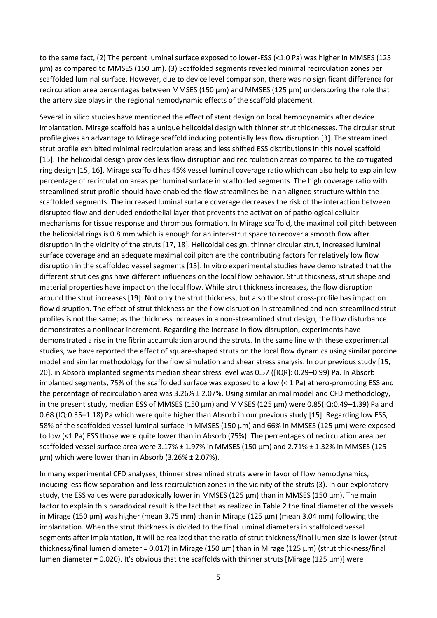to the same fact, (2) The percent luminal surface exposed to lower-ESS (<1.0 Pa) was higher in MMSES (125 µm) as compared to MMSES (150 µm). (3) Scaffolded segments revealed minimal recirculation zones per scaffolded luminal surface. However, due to device level comparison, there was no significant difference for recirculation area percentages between MMSES (150 µm) and MMSES (125 µm) underscoring the role that the artery size plays in the regional hemodynamic effects of the scaffold placement.

Several in silico studies have mentioned the effect of stent design on local hemodynamics after device implantation. Mirage scaffold has a unique helicoidal design with thinner strut thicknesses. The circular strut profile gives an advantage to Mirage scaffold inducing potentially less flow disruption [3]. The streamlined strut profile exhibited minimal recirculation areas and less shifted ESS distributions in this novel scaffold [15]. The helicoidal design provides less flow disruption and recirculation areas compared to the corrugated ring design [15, 16]. Mirage scaffold has 45% vessel luminal coverage ratio which can also help to explain low percentage of recirculation areas per luminal surface in scaffolded segments. The high coverage ratio with streamlined strut profile should have enabled the flow streamlines be in an aligned structure within the scaffolded segments. The increased luminal surface coverage decreases the risk of the interaction between disrupted flow and denuded endothelial layer that prevents the activation of pathological cellular mechanisms for tissue response and thrombus formation. In Mirage scaffold, the maximal coil pitch between the helicoidal rings is 0.8 mm which is enough for an inter-strut space to recover a smooth flow after disruption in the vicinity of the struts [17, 18]. Helicoidal design, thinner circular strut, increased luminal surface coverage and an adequate maximal coil pitch are the contributing factors for relatively low flow disruption in the scaffolded vessel segments [15]. In vitro experimental studies have demonstrated that the different strut designs have different influences on the local flow behavior. Strut thickness, strut shape and material properties have impact on the local flow. While strut thickness increases, the flow disruption around the strut increases [19]. Not only the strut thickness, but also the strut cross-profile has impact on flow disruption. The effect of strut thickness on the flow disruption in streamlined and non-streamlined strut profiles is not the same; as the thickness increases in a non-streamlined strut design, the flow disturbance demonstrates a nonlinear increment. Regarding the increase in flow disruption, experiments have demonstrated a rise in the fibrin accumulation around the struts. In the same line with these experimental studies, we have reported the effect of square-shaped struts on the local flow dynamics using similar porcine model and similar methodology for the flow simulation and shear stress analysis. In our previous study [15, 20], in Absorb implanted segments median shear stress level was 0.57 ([IQR]: 0.29–0.99) Pa. In Absorb implanted segments, 75% of the scaffolded surface was exposed to a low (< 1 Pa) athero-promoting ESS and the percentage of recirculation area was 3.26% ± 2.07%. Using similar animal model and CFD methodology, in the present study, median ESS of MMSES (150 µm) and MMSES (125 µm) were 0.85(IQ:0.49-1.39) Pa and 0.68 (IQ:0.35–1.18) Pa which were quite higher than Absorb in our previous study [15]. Regarding low ESS, 58% of the scaffolded vessel luminal surface in MMSES (150 µm) and 66% in MMSES (125 µm) were exposed to low (<1 Pa) ESS those were quite lower than in Absorb (75%). The percentages of recirculation area per scaffolded vessel surface area were 3.17% ± 1.97% in MMSES (150 µm) and 2.71% ± 1.32% in MMSES (125 µm) which were lower than in Absorb (3.26% ± 2.07%).

In many experimental CFD analyses, thinner streamlined struts were in favor of flow hemodynamics, inducing less flow separation and less recirculation zones in the vicinity of the struts (3). In our exploratory study, the ESS values were paradoxically lower in MMSES (125 µm) than in MMSES (150 µm). The main factor to explain this paradoxical result is the fact that as realized in Table 2 the final diameter of the vessels in Mirage (150 µm) was higher (mean 3.75 mm) than in Mirage (125 µm) (mean 3.04 mm) following the implantation. When the strut thickness is divided to the final luminal diameters in scaffolded vessel segments after implantation, it will be realized that the ratio of strut thickness/final lumen size is lower (strut thickness/final lumen diameter = 0.017) in Mirage (150 µm) than in Mirage (125 µm) (strut thickness/final lumen diameter = 0.020). It's obvious that the scaffolds with thinner struts [Mirage (125  $\mu$ m)] were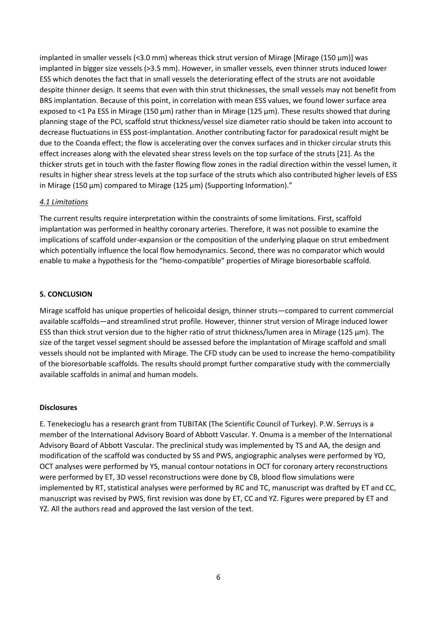implanted in smaller vessels (<3.0 mm) whereas thick strut version of Mirage [Mirage (150  $\mu$ m)] was implanted in bigger size vessels (>3.5 mm). However, in smaller vessels, even thinner struts induced lower ESS which denotes the fact that in small vessels the deteriorating effect of the struts are not avoidable despite thinner design. It seems that even with thin strut thicknesses, the small vessels may not benefit from BRS implantation. Because of this point, in correlation with mean ESS values, we found lower surface area exposed to <1 Pa ESS in Mirage (150  $\mu$ m) rather than in Mirage (125  $\mu$ m). These results showed that during planning stage of the PCI, scaffold strut thickness/vessel size diameter ratio should be taken into account to decrease fluctuations in ESS post-implantation. Another contributing factor for paradoxical result might be due to the Coanda effect; the flow is accelerating over the convex surfaces and in thicker circular struts this effect increases along with the elevated shear stress levels on the top surface of the struts [21]. As the thicker struts get in touch with the faster flowing flow zones in the radial direction within the vessel lumen, it results in higher shear stress levels at the top surface of the struts which also contributed higher levels of ESS in Mirage (150 µm) compared to Mirage (125 µm) (Supporting Information)."

#### *4.1 Limitations*

The current results require interpretation within the constraints of some limitations. First, scaffold implantation was performed in healthy coronary arteries. Therefore, it was not possible to examine the implications of scaffold under-expansion or the composition of the underlying plaque on strut embedment which potentially influence the local flow hemodynamics. Second, there was no comparator which would enable to make a hypothesis for the "hemo-compatible" properties of Mirage bioresorbable scaffold.

#### **5. CONCLUSION**

Mirage scaffold has unique properties of helicoidal design, thinner struts—compared to current commercial available scaffolds—and streamlined strut profile. However, thinner strut version of Mirage induced lower ESS than thick strut version due to the higher ratio of strut thickness/lumen area in Mirage (125 µm). The size of the target vessel segment should be assessed before the implantation of Mirage scaffold and small vessels should not be implanted with Mirage. The CFD study can be used to increase the hemo-compatibility of the bioresorbable scaffolds. The results should prompt further comparative study with the commercially available scaffolds in animal and human models.

#### **Disclosures**

E. Tenekecioglu has a research grant from TUBITAK (The Scientific Council of Turkey). P.W. Serruys is a member of the International Advisory Board of Abbott Vascular. Y. Onuma is a member of the International Advisory Board of Abbott Vascular. The preclinical study was implemented by TS and AA, the design and modification of the scaffold was conducted by SS and PWS, angiographic analyses were performed by YO, OCT analyses were performed by YS, manual contour notations in OCT for coronary artery reconstructions were performed by ET, 3D vessel reconstructions were done by CB, blood flow simulations were implemented by RT, statistical analyses were performed by RC and TC, manuscript was drafted by ET and CC, manuscript was revised by PWS, first revision was done by ET, CC and YZ. Figures were prepared by ET and YZ. All the authors read and approved the last version of the text.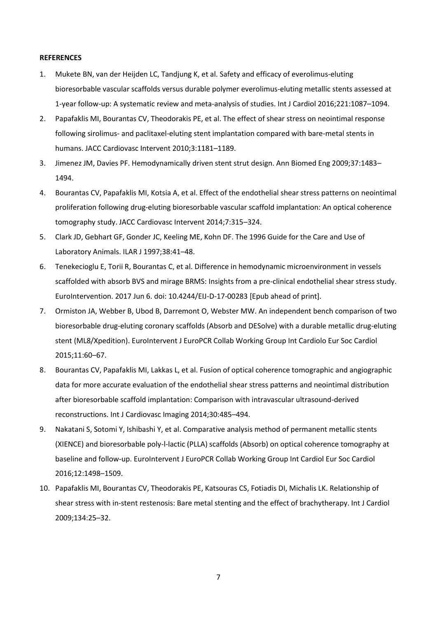#### **REFERENCES**

- 1. Mukete BN, van der Heijden LC, Tandjung K, et al. Safety and efficacy of everolimus-eluting bioresorbable vascular scaffolds versus durable polymer everolimus-eluting metallic stents assessed at 1-year follow-up: A systematic review and meta-analysis of studies. Int J Cardiol 2016;221:1087–1094.
- 2. Papafaklis MI, Bourantas CV, Theodorakis PE, et al. The effect of shear stress on neointimal response following sirolimus- and paclitaxel-eluting stent implantation compared with bare-metal stents in humans. JACC Cardiovasc Intervent 2010;3:1181–1189.
- 3. Jimenez JM, Davies PF. Hemodynamically driven stent strut design. Ann Biomed Eng 2009;37:1483– 1494.
- 4. Bourantas CV, Papafaklis MI, Kotsia A, et al. Effect of the endothelial shear stress patterns on neointimal proliferation following drug-eluting bioresorbable vascular scaffold implantation: An optical coherence tomography study. JACC Cardiovasc Intervent 2014;7:315–324.
- 5. Clark JD, Gebhart GF, Gonder JC, Keeling ME, Kohn DF. The 1996 Guide for the Care and Use of Laboratory Animals. ILAR J 1997;38:41-48.
- 6. Tenekecioglu E, Torii R, Bourantas C, et al. Difference in hemodynamic microenvironment in vessels scaffolded with absorb BVS and mirage BRMS: Insights from a pre-clinical endothelial shear stress study. EuroIntervention. 2017 Jun 6. doi: 10.4244/EIJ-D-17-00283 [Epub ahead of print].
- 7. Ormiston JA, Webber B, Ubod B, Darremont O, Webster MW. An independent bench comparison of two bioresorbable drug-eluting coronary scaffolds (Absorb and DESolve) with a durable metallic drug-eluting stent (ML8/Xpedition). EuroIntervent J EuroPCR Collab Working Group Int Cardiolo Eur Soc Cardiol 2015;11:60–67.
- 8. Bourantas CV, Papafaklis MI, Lakkas L, et al. Fusion of optical coherence tomographic and angiographic data for more accurate evaluation of the endothelial shear stress patterns and neointimal distribution after bioresorbable scaffold implantation: Comparison with intravascular ultrasound-derived reconstructions. Int J Cardiovasc Imaging 2014;30:485–494.
- 9. Nakatani S, Sotomi Y, Ishibashi Y, et al. Comparative analysis method of permanent metallic stents (XIENCE) and bioresorbable poly-l-lactic (PLLA) scaffolds (Absorb) on optical coherence tomography at baseline and follow-up. EuroIntervent J EuroPCR Collab Working Group Int Cardiol Eur Soc Cardiol 2016;12:1498–1509.
- 10. Papafaklis MI, Bourantas CV, Theodorakis PE, Katsouras CS, Fotiadis DI, Michalis LK. Relationship of shear stress with in-stent restenosis: Bare metal stenting and the effect of brachytherapy. Int J Cardiol 2009;134:25–32.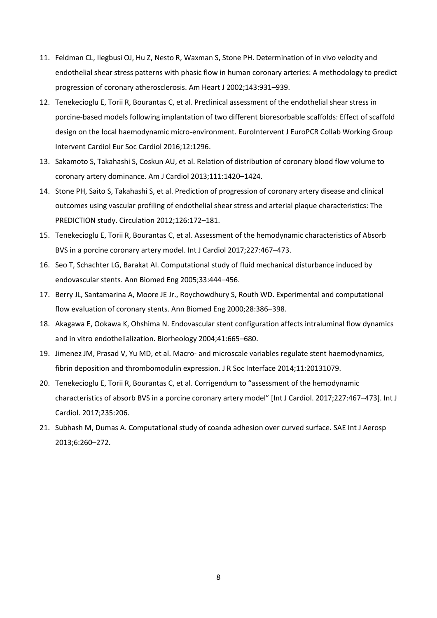- 11. Feldman CL, Ilegbusi OJ, Hu Z, Nesto R, Waxman S, Stone PH. Determination of in vivo velocity and endothelial shear stress patterns with phasic flow in human coronary arteries: A methodology to predict progression of coronary atherosclerosis. Am Heart J 2002;143:931–939.
- 12. Tenekecioglu E, Torii R, Bourantas C, et al. Preclinical assessment of the endothelial shear stress in porcine-based models following implantation of two different bioresorbable scaffolds: Effect of scaffold design on the local haemodynamic micro-environment. EuroIntervent J EuroPCR Collab Working Group Intervent Cardiol Eur Soc Cardiol 2016;12:1296.
- 13. Sakamoto S, Takahashi S, Coskun AU, et al. Relation of distribution of coronary blood flow volume to coronary artery dominance. Am J Cardiol 2013;111:1420–1424.
- 14. Stone PH, Saito S, Takahashi S, et al. Prediction of progression of coronary artery disease and clinical outcomes using vascular profiling of endothelial shear stress and arterial plaque characteristics: The PREDICTION study. Circulation 2012;126:172–181.
- 15. Tenekecioglu E, Torii R, Bourantas C, et al. Assessment of the hemodynamic characteristics of Absorb BVS in a porcine coronary artery model. Int J Cardiol 2017;227:467–473.
- 16. Seo T, Schachter LG, Barakat AI. Computational study of fluid mechanical disturbance induced by endovascular stents. Ann Biomed Eng 2005;33:444–456.
- 17. Berry JL, Santamarina A, Moore JE Jr., Roychowdhury S, Routh WD. Experimental and computational flow evaluation of coronary stents. Ann Biomed Eng 2000;28:386–398.
- 18. Akagawa E, Ookawa K, Ohshima N. Endovascular stent configuration affects intraluminal flow dynamics and in vitro endothelialization. Biorheology 2004;41:665–680.
- 19. Jimenez JM, Prasad V, Yu MD, et al. Macro- and microscale variables regulate stent haemodynamics, fibrin deposition and thrombomodulin expression. J R Soc Interface 2014;11:20131079.
- 20. Tenekecioglu E, Torii R, Bourantas C, et al. Corrigendum to "assessment of the hemodynamic characteristics of absorb BVS in a porcine coronary artery model" [Int J Cardiol. 2017;227:467–473]. Int J Cardiol. 2017;235:206.
- 21. Subhash M, Dumas A. Computational study of coanda adhesion over curved surface. SAE Int J Aerosp 2013;6:260–272.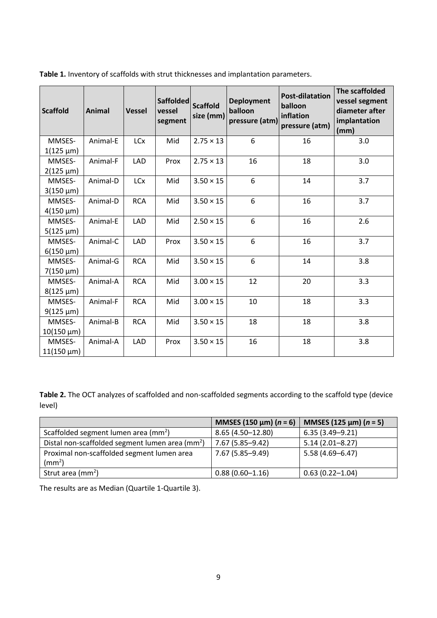| <b>Scaffold</b>                        | <b>Animal</b> | <b>Vessel</b> | <b>Saffolded</b><br>vessel<br>segment | <b>Scaffold</b><br>size (mm) | <b>Deployment</b><br>balloon<br>pressure (atm) | <b>Post-dilatation</b><br>balloon<br>inflation<br>pressure (atm) | The scaffolded<br>vessel segment<br>diameter after<br>implantation<br>(mm) |
|----------------------------------------|---------------|---------------|---------------------------------------|------------------------------|------------------------------------------------|------------------------------------------------------------------|----------------------------------------------------------------------------|
| MMSES-<br>$1(125 \mu m)$               | Animal-E      | <b>LCx</b>    | Mid                                   | $2.75 \times 13$             | 6                                              | 16                                                               | 3.0                                                                        |
| MMSES-<br>$2(125 \mu m)$               | Animal-F      | LAD           | Prox                                  | $2.75 \times 13$             | 16                                             | 18                                                               | 3.0                                                                        |
| MMSES-<br>$3(150 \mu m)$               | Animal-D      | <b>LCx</b>    | Mid                                   | $3.50 \times 15$             | 6                                              | 14                                                               | 3.7                                                                        |
| MMSES-<br>$4(150 \mu m)$               | Animal-D      | <b>RCA</b>    | Mid                                   | $3.50 \times 15$             | 6                                              | 16                                                               | 3.7                                                                        |
| MMSES-<br>$5(125 \mu m)$               | Animal-E      | <b>LAD</b>    | Mid                                   | $2.50 \times 15$             | 6                                              | 16                                                               | 2.6                                                                        |
| MMSES-<br>$6(150 \mu m)$               | Animal-C      | <b>LAD</b>    | Prox                                  | $3.50 \times 15$             | 6                                              | 16                                                               | 3.7                                                                        |
| MMSES-<br>$7(150 \,\mu m)$             | Animal-G      | <b>RCA</b>    | Mid                                   | $3.50 \times 15$             | 6                                              | 14                                                               | 3.8                                                                        |
| MMSES-<br>$8(125 \mu m)$               | Animal-A      | <b>RCA</b>    | Mid                                   | $3.00 \times 15$             | 12                                             | 20                                                               | 3.3                                                                        |
| MMSES-<br>$9(125 \mu m)$               | Animal-F      | <b>RCA</b>    | Mid                                   | $3.00 \times 15$             | 10                                             | 18                                                               | 3.3                                                                        |
| MMSES-<br>$10(150 \,\mathrm{\upmu m})$ | Animal-B      | <b>RCA</b>    | Mid                                   | $3.50 \times 15$             | 18                                             | 18                                                               | 3.8                                                                        |
| MMSES-<br>$11(150 \,\mu m)$            | Animal-A      | <b>LAD</b>    | Prox                                  | $3.50 \times 15$             | 16                                             | 18                                                               | 3.8                                                                        |

**Table 1.** Inventory of scaffolds with strut thicknesses and implantation parameters.

**Table 2.** The OCT analyzes of scaffolded and non-scaffolded segments according to the scaffold type (device level)

|                                                    | MMSES (150 $\mu$ m) ( <i>n</i> = 6) | MMSES (125 $\mu$ m) (n = 5) |
|----------------------------------------------------|-------------------------------------|-----------------------------|
| Scaffolded segment lumen area (mm <sup>2</sup> )   | 8.65 (4.50-12.80)                   | $6.35(3.49 - 9.21)$         |
| Distal non-scaffolded segment lumen area ( $mm2$ ) | 7.67 (5.85-9.42)                    | $5.14(2.01 - 8.27)$         |
| Proximal non-scaffolded segment lumen area         | 7.67 (5.85-9.49)                    | 5.58 (4.69-6.47)            |
| $\text{m}^2$ )                                     |                                     |                             |
| Strut area (mm <sup>2</sup> )                      | $0.88(0.60 - 1.16)$                 | $0.63(0.22 - 1.04)$         |

The results are as Median (Quartile 1-Quartile 3).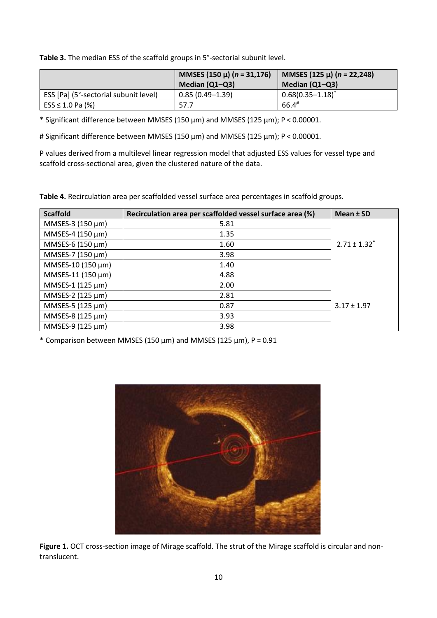**Table 3.** The median ESS of the scaffold groups in 5°-sectorial subunit level.

|                                       | MMSES (150 µ) ( $n = 31,176$ )<br>Median (Q1-Q3) | MMSES (125 µ) ( $n = 22,248$ )<br>Median $(Q1-Q3)$ |
|---------------------------------------|--------------------------------------------------|----------------------------------------------------|
| ESS [Pa] (5°-sectorial subunit level) | $0.85(0.49 - 1.39)$                              | $0.68(0.35 - 1.18)^*$                              |
| $ESS \leq 1.0$ Pa (%)                 | 57.7                                             | $66.4*$                                            |

\* Significant difference between MMSES (150 µm) and MMSES (125 µm); P < 0.00001.

# Significant difference between MMSES (150 µm) and MMSES (125 µm); P < 0.00001.

P values derived from a multilevel linear regression model that adjusted ESS values for vessel type and scaffold cross-sectional area, given the clustered nature of the data.

**Table 4.** Recirculation area per scaffolded vessel surface area percentages in scaffold groups.

| <b>Scaffold</b>   | Recirculation area per scaffolded vessel surface area (%) | Mean ± SD                    |
|-------------------|-----------------------------------------------------------|------------------------------|
| MMSES-3 (150 μm)  | 5.81                                                      |                              |
| MMSES-4 (150 µm)  | 1.35                                                      |                              |
| MMSES-6 (150 µm)  | 1.60                                                      | $2.71 \pm 1.32$ <sup>*</sup> |
| MMSES-7 (150 µm)  | 3.98                                                      |                              |
| MMSES-10 (150 μm) | 1.40                                                      |                              |
| MMSES-11 (150 μm) | 4.88                                                      |                              |
| MMSES-1 (125 µm)  | 2.00                                                      |                              |
| MMSES-2 (125 µm)  | 2.81                                                      |                              |
| MMSES-5 (125 µm)  | 0.87                                                      | $3.17 \pm 1.97$              |
| MMSES-8 (125 µm)  | 3.93                                                      |                              |
| MMSES-9 (125 µm)  | 3.98                                                      |                              |

 $*$  Comparison between MMSES (150  $\mu$ m) and MMSES (125  $\mu$ m), P = 0.91



**Figure 1.** OCT cross-section image of Mirage scaffold. The strut of the Mirage scaffold is circular and nontranslucent.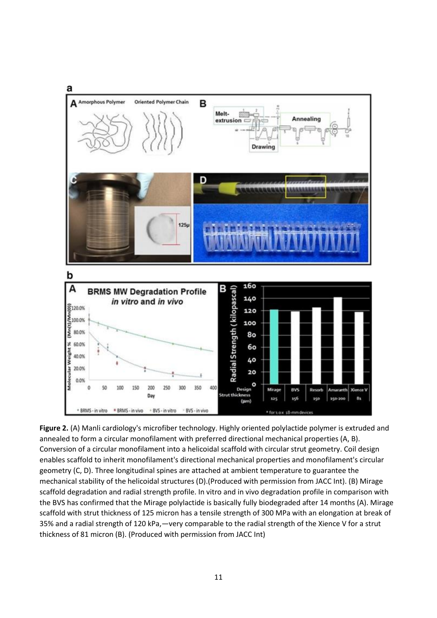

**Figure 2.** (A) Manli cardiology's microfiber technology. Highly oriented polylactide polymer is extruded and annealed to form a circular monofilament with preferred directional mechanical properties (A, B). Conversion of a circular monofilament into a helicoidal scaffold with circular strut geometry. Coil design enables scaffold to inherit monofilament's directional mechanical properties and monofilament's circular geometry (C, D). Three longitudinal spines are attached at ambient temperature to guarantee the mechanical stability of the helicoidal structures (D).(Produced with permission from JACC Int). (B) Mirage scaffold degradation and radial strength profile. In vitro and in vivo degradation profile in comparison with the BVS has confirmed that the Mirage polylactide is basically fully biodegraded after 14 months (A). Mirage scaffold with strut thickness of 125 micron has a tensile strength of 300 MPa with an elongation at break of 35% and a radial strength of 120 kPa,—very comparable to the radial strength of the Xience V for a strut thickness of 81 micron (B). (Produced with permission from JACC Int)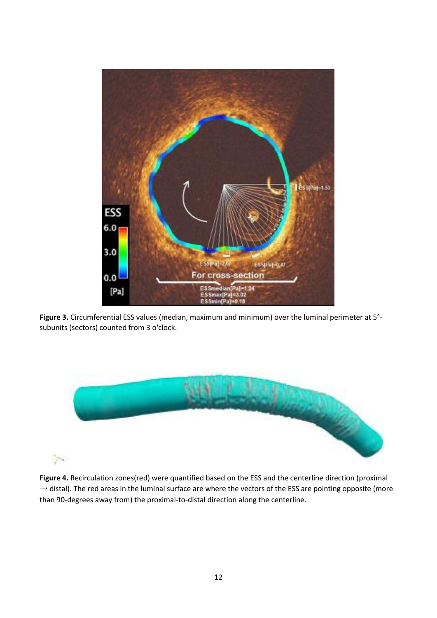

**Figure 3.** Circumferential ESS values (median, maximum and minimum) over the luminal perimeter at 5° subunits (sectors) counted from 3 o'clock.



**Figure 4.** Recirculation zones(red) were quantified based on the ESS and the centerline direction (proximal  $\rightarrow$  distal). The red areas in the luminal surface are where the vectors of the ESS are pointing opposite (more than 90-degrees away from) the proximal-to-distal direction along the centerline.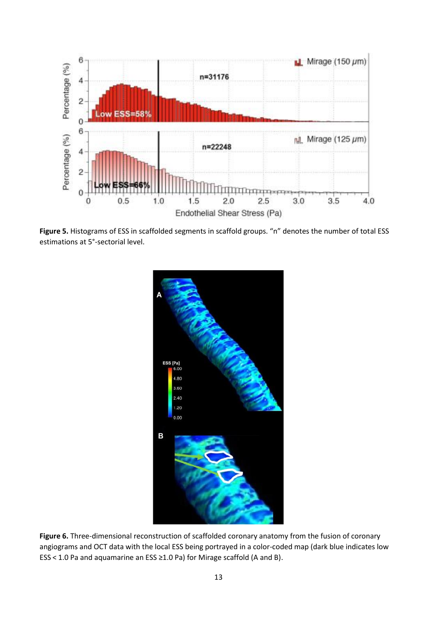

**Figure 5.** Histograms of ESS in scaffolded segments in scaffold groups. "n" denotes the number of total ESS estimations at 5°-sectorial level.



**Figure 6.** Three-dimensional reconstruction of scaffolded coronary anatomy from the fusion of coronary angiograms and OCT data with the local ESS being portrayed in a color-coded map (dark blue indicates low ESS < 1.0 Pa and aquamarine an ESS ≥1.0 Pa) for Mirage scaffold (A and B).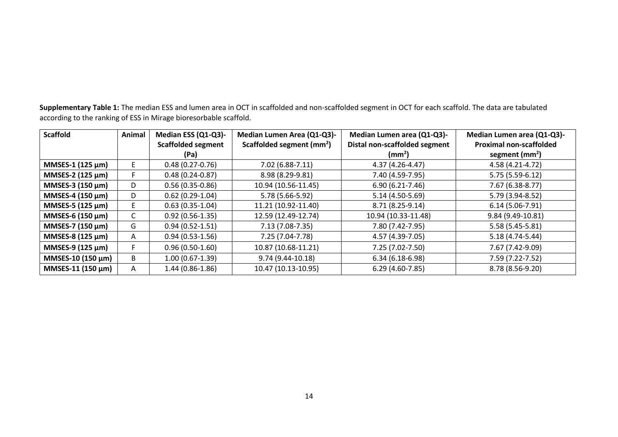**Supplementary Table 1:** The median ESS and lumen area in OCT in scaffolded and non-scaffolded segment in OCT for each scaffold. The data are tabulated according to the ranking of ESS in Mirage bioresorbable scaffold.

| <b>Scaffold</b>       | Animal | Median ESS (Q1-Q3)-       | Median Lumen Area (Q1-Q3)-            | Median Lumen area (Q1-Q3)-    | Median Lumen area (Q1-Q3)-     |
|-----------------------|--------|---------------------------|---------------------------------------|-------------------------------|--------------------------------|
|                       |        | <b>Scaffolded segment</b> | Scaffolded segment (mm <sup>2</sup> ) | Distal non-scaffolded segment | <b>Proximal non-scaffolded</b> |
|                       |        | (Pa)                      |                                       | $\text{m}^2$                  | segment $(mm2)$                |
| MMSES-1 (125 μm)      | E.     | $0.48(0.27-0.76)$         | 7.02 (6.88-7.11)                      | 4.37 (4.26-4.47)              | 4.58 (4.21-4.72)               |
| MMSES-2 (125 $\mu$ m) |        | $0.48(0.24 - 0.87)$       | 8.98 (8.29-9.81)                      | 7.40 (4.59-7.95)              | 5.75 (5.59-6.12)               |
| MMSES-3 $(150 \mu m)$ | D      | $0.56(0.35-0.86)$         | 10.94 (10.56-11.45)                   | $6.90(6.21-7.46)$             | 7.67 (6.38-8.77)               |
| MMSES-4 (150 $\mu$ m) | D      | $0.62(0.29-1.04)$         | 5.78 (5.66-5.92)                      | 5.14 (4.50-5.69)              | 5.79 (3.94-8.52)               |
| MMSES-5 (125 μm)      | E      | $0.63(0.35-1.04)$         | 11.21 (10.92-11.40)                   | 8.71 (8.25-9.14)              | $6.14(5.06-7.91)$              |
| MMSES-6 (150 μm)      | С      | $0.92(0.56-1.35)$         | 12.59 (12.49-12.74)                   | 10.94 (10.33-11.48)           | 9.84 (9.49-10.81)              |
| MMSES-7 (150 $\mu$ m) | G      | $0.94(0.52 - 1.51)$       | 7.13 (7.08-7.35)                      | 7.80 (7.42-7.95)              | $5.58(5.45-5.81)$              |
| MMSES-8 (125 μm)      | A      | $0.94(0.53-1.56)$         | 7.25 (7.04-7.78)                      | 4.57 (4.39-7.05)              | 5.18 (4.74-5.44)               |
| MMSES-9 (125 μm)      |        | $0.96(0.50-1.60)$         | 10.87 (10.68-11.21)                   | 7.25 (7.02-7.50)              | 7.67 (7.42-9.09)               |
| MMSES-10 (150 μm)     | B      | $1.00(0.67-1.39)$         | 9.74 (9.44-10.18)                     | $6.34(6.18-6.98)$             | 7.59 (7.22-7.52)               |
| MMSES-11 (150 μm)     | A      | $1.44(0.86 - 1.86)$       | 10.47 (10.13-10.95)                   | $6.29(4.60-7.85)$             | 8.78 (8.56-9.20)               |